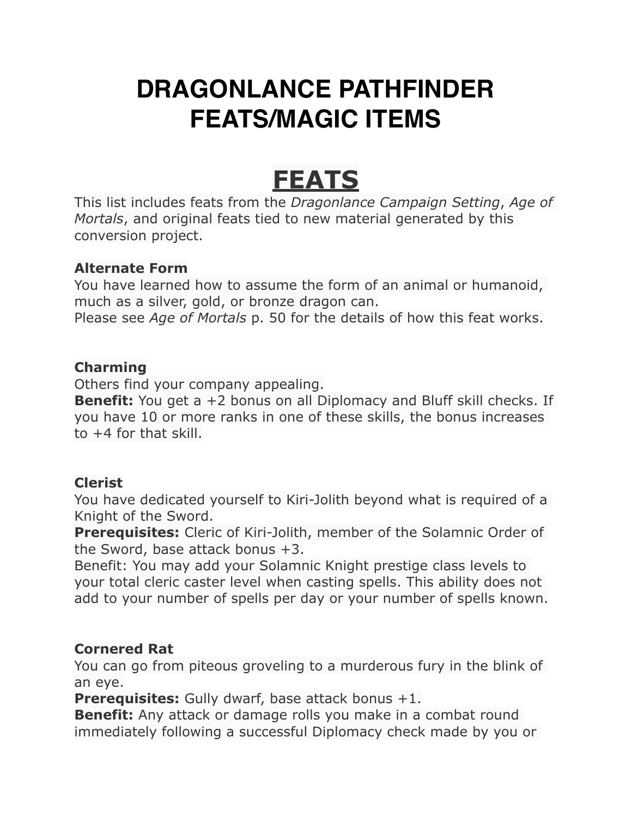# **DRAGONLANCE PATHFINDER FEATS/MAGIC ITEMS**

# **FEATS**

This list includes feats from the *Dragonlance Campaign Setting*, *Age of Mortals*, and original feats tied to new material generated by this conversion project.

# **Alternate Form**

You have learned how to assume the form of an animal or humanoid, much as a silver, gold, or bronze dragon can. Please see *Age of Mortals* p. 50 for the details of how this feat works.

# **Charming**

Others find your company appealing.

**Benefit:** You get a +2 bonus on all Diplomacy and Bluff skill checks. If you have 10 or more ranks in one of these skills, the bonus increases to +4 for that skill.

## **Clerist**

You have dedicated yourself to Kiri-Jolith beyond what is required of a Knight of the Sword.

**Prerequisites:** Cleric of Kiri-Jolith, member of the Solamnic Order of the Sword, base attack bonus +3.

Benefit: You may add your Solamnic Knight prestige class levels to your total cleric caster level when casting spells. This ability does not add to your number of spells per day or your number of spells known.

# **Cornered Rat**

You can go from piteous groveling to a murderous fury in the blink of an eye.

**Prerequisites:** Gully dwarf, base attack bonus +1.

**Benefit:** Any attack or damage rolls you make in a combat round immediately following a successful Diplomacy check made by you or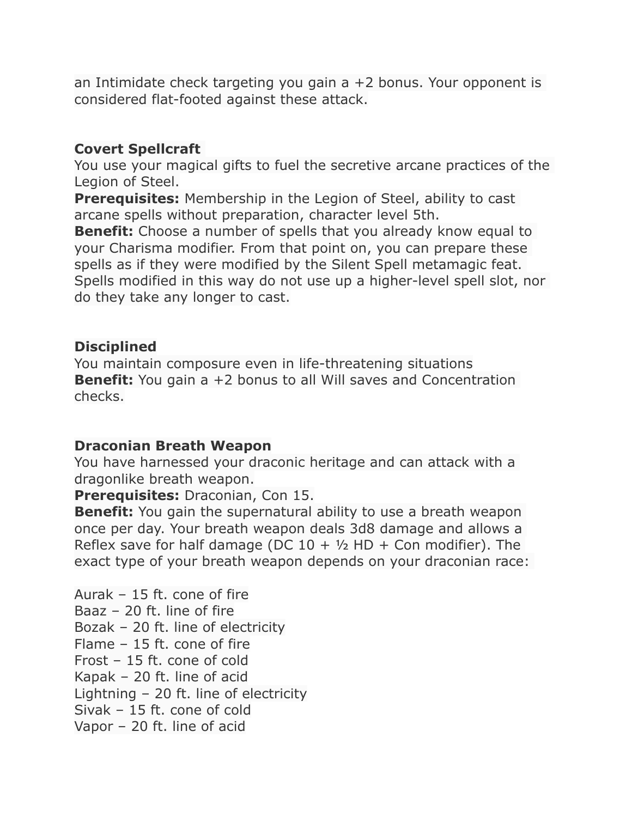an Intimidate check targeting you gain a +2 bonus. Your opponent is considered flat-footed against these attack.

## **Covert Spellcraft**

You use your magical gifts to fuel the secretive arcane practices of the Legion of Steel.

**Prerequisites:** Membership in the Legion of Steel, ability to cast arcane spells without preparation, character level 5th.

**Benefit:** Choose a number of spells that you already know equal to your Charisma modifier. From that point on, you can prepare these spells as if they were modified by the Silent Spell metamagic feat. Spells modified in this way do not use up a higher-level spell slot, nor do they take any longer to cast.

#### **Disciplined**

You maintain composure even in life-threatening situations **Benefit:** You gain a +2 bonus to all Will saves and Concentration checks.

#### **Draconian Breath Weapon**

You have harnessed your draconic heritage and can attack with a dragonlike breath weapon.

**Prerequisites:** Draconian, Con 15.

**Benefit:** You gain the supernatural ability to use a breath weapon once per day. Your breath weapon deals 3d8 damage and allows a Reflex save for half damage (DC  $10 + \frac{1}{2}$  HD + Con modifier). The exact type of your breath weapon depends on your draconian race:

Aurak – 15 ft. cone of fire Baaz – 20 ft. line of fire Bozak – 20 ft. line of electricity Flame – 15 ft. cone of fire Frost – 15 ft. cone of cold Kapak – 20 ft. line of acid Lightning – 20 ft. line of electricity Sivak – 15 ft. cone of cold Vapor – 20 ft. line of acid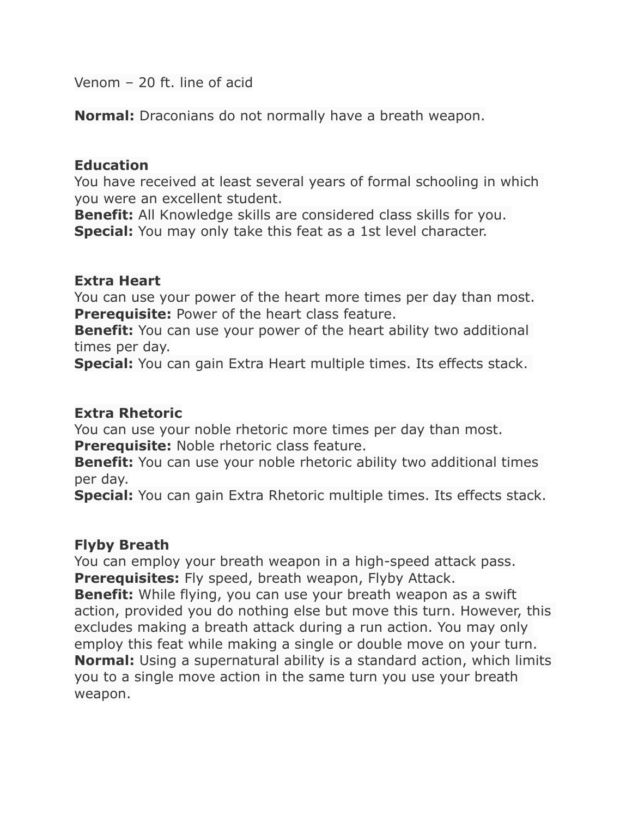Venom – 20 ft. line of acid

**Normal:** Draconians do not normally have a breath weapon.

#### **Education**

You have received at least several years of formal schooling in which you were an excellent student.

**Benefit:** All Knowledge skills are considered class skills for you. **Special:** You may only take this feat as a 1st level character.

#### **Extra Heart**

You can use your power of the heart more times per day than most. **Prerequisite:** Power of the heart class feature.

**Benefit:** You can use your power of the heart ability two additional times per day.

**Special:** You can gain Extra Heart multiple times. Its effects stack.

#### **Extra Rhetoric**

You can use your noble rhetoric more times per day than most. **Prerequisite:** Noble rhetoric class feature.

**Benefit:** You can use your noble rhetoric ability two additional times per day.

**Special:** You can gain Extra Rhetoric multiple times. Its effects stack.

## **Flyby Breath**

You can employ your breath weapon in a high-speed attack pass. **Prerequisites:** Fly speed, breath weapon, Flyby Attack.

**Benefit:** While flying, you can use your breath weapon as a swift action, provided you do nothing else but move this turn. However, this excludes making a breath attack during a run action. You may only employ this feat while making a single or double move on your turn. **Normal:** Using a supernatural ability is a standard action, which limits you to a single move action in the same turn you use your breath weapon.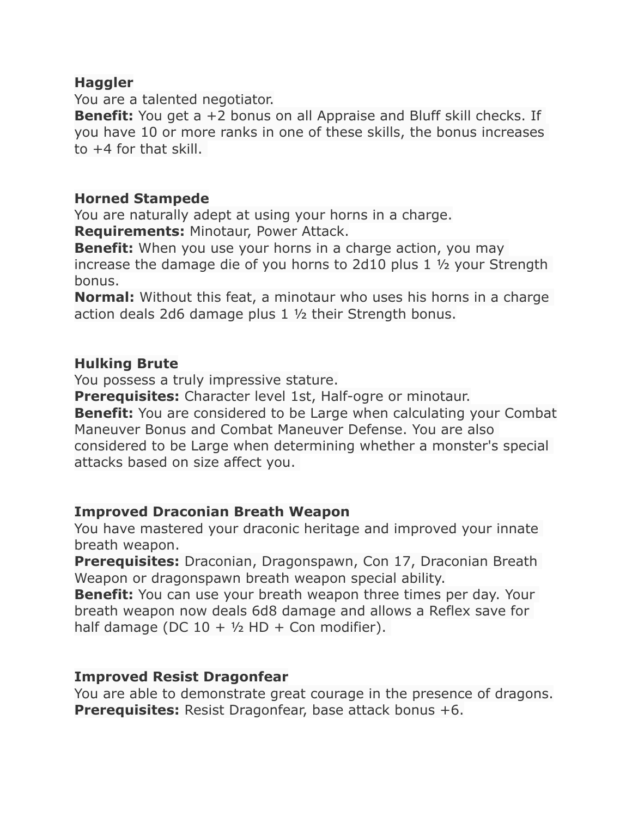#### **Haggler**

You are a talented negotiator.

**Benefit:** You get a +2 bonus on all Appraise and Bluff skill checks. If you have 10 or more ranks in one of these skills, the bonus increases to +4 for that skill.

#### **Horned Stampede**

You are naturally adept at using your horns in a charge. **Requirements:** Minotaur, Power Attack.

**Benefit:** When you use your horns in a charge action, you may increase the damage die of you horns to 2d10 plus 1 ½ your Strength bonus.

**Normal:** Without this feat, a minotaur who uses his horns in a charge action deals 2d6 damage plus 1 ½ their Strength bonus.

#### **Hulking Brute**

You possess a truly impressive stature.

**Prerequisites:** Character level 1st, Half-ogre or minotaur.

**Benefit:** You are considered to be Large when calculating your Combat Maneuver Bonus and Combat Maneuver Defense. You are also considered to be Large when determining whether a monster's special attacks based on size affect you.

#### **Improved Draconian Breath Weapon**

You have mastered your draconic heritage and improved your innate breath weapon.

**Prerequisites:** Draconian, Dragonspawn, Con 17, Draconian Breath Weapon or dragonspawn breath weapon special ability.

**Benefit:** You can use your breath weapon three times per day. Your breath weapon now deals 6d8 damage and allows a Reflex save for half damage (DC  $10 + \frac{1}{2}$  HD + Con modifier).

## **Improved Resist Dragonfear**

You are able to demonstrate great courage in the presence of dragons. **Prerequisites:** Resist Dragonfear, base attack bonus +6.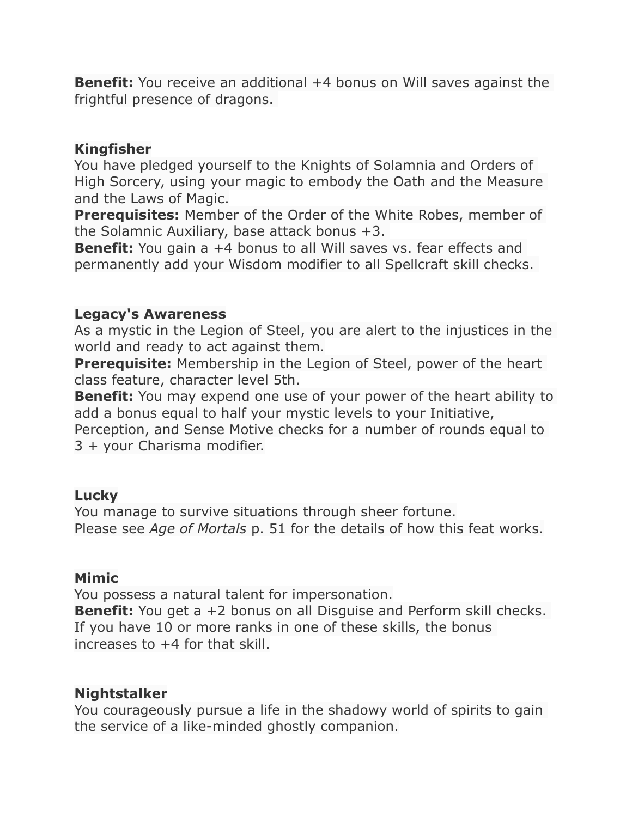**Benefit:** You receive an additional +4 bonus on Will saves against the frightful presence of dragons.

#### **Kingfisher**

You have pledged yourself to the Knights of Solamnia and Orders of High Sorcery, using your magic to embody the Oath and the Measure and the Laws of Magic.

**Prerequisites:** Member of the Order of the White Robes, member of the Solamnic Auxiliary, base attack bonus +3.

**Benefit:** You gain a +4 bonus to all Will saves vs. fear effects and permanently add your Wisdom modifier to all Spellcraft skill checks.

#### **Legacy's Awareness**

As a mystic in the Legion of Steel, you are alert to the injustices in the world and ready to act against them.

**Prerequisite:** Membership in the Legion of Steel, power of the heart class feature, character level 5th.

**Benefit:** You may expend one use of your power of the heart ability to add a bonus equal to half your mystic levels to your Initiative,

Perception, and Sense Motive checks for a number of rounds equal to 3 + your Charisma modifier.

## **Lucky**

You manage to survive situations through sheer fortune. Please see *Age of Mortals* p. 51 for the details of how this feat works.

## **Mimic**

You possess a natural talent for impersonation. **Benefit:** You get a +2 bonus on all Disguise and Perform skill checks. If you have 10 or more ranks in one of these skills, the bonus increases to +4 for that skill.

## **Nightstalker**

You courageously pursue a life in the shadowy world of spirits to gain the service of a like-minded ghostly companion.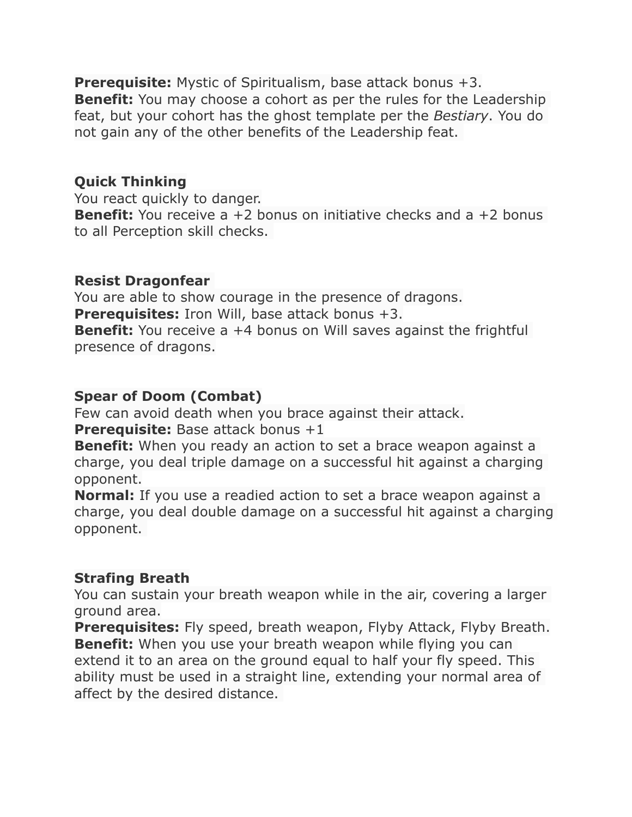**Prerequisite:** Mystic of Spiritualism, base attack bonus +3. **Benefit:** You may choose a cohort as per the rules for the Leadership feat, but your cohort has the ghost template per the *Bestiary*. You do not gain any of the other benefits of the Leadership feat.

# **Quick Thinking**

You react quickly to danger. **Benefit:** You receive a +2 bonus on initiative checks and a +2 bonus to all Perception skill checks.

## **Resist Dragonfear**

You are able to show courage in the presence of dragons. **Prerequisites:** Iron Will, base attack bonus +3. **Benefit:** You receive a +4 bonus on Will saves against the frightful presence of dragons.

# **Spear of Doom (Combat)**

Few can avoid death when you brace against their attack. **Prerequisite:** Base attack bonus +1

**Benefit:** When you ready an action to set a brace weapon against a charge, you deal triple damage on a successful hit against a charging opponent.

**Normal:** If you use a readied action to set a brace weapon against a charge, you deal double damage on a successful hit against a charging opponent.

## **Strafing Breath**

You can sustain your breath weapon while in the air, covering a larger ground area.

**Prerequisites:** Fly speed, breath weapon, Flyby Attack, Flyby Breath. **Benefit:** When you use your breath weapon while flying you can extend it to an area on the ground equal to half your fly speed. This ability must be used in a straight line, extending your normal area of affect by the desired distance.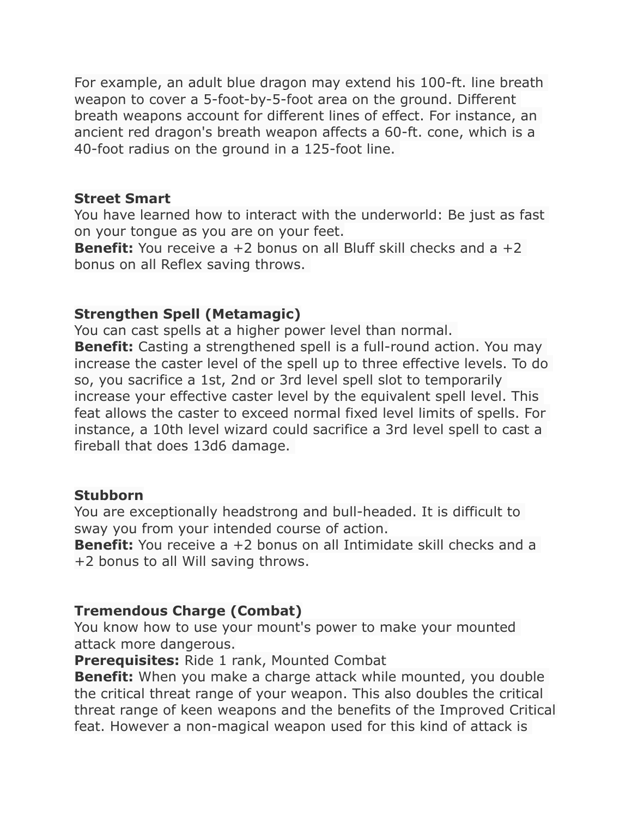For example, an adult blue dragon may extend his 100-ft. line breath weapon to cover a 5-foot-by-5-foot area on the ground. Different breath weapons account for different lines of effect. For instance, an ancient red dragon's breath weapon affects a 60-ft. cone, which is a 40-foot radius on the ground in a 125-foot line.

#### **Street Smart**

You have learned how to interact with the underworld: Be just as fast on your tongue as you are on your feet.

**Benefit:** You receive a +2 bonus on all Bluff skill checks and a +2 bonus on all Reflex saving throws.

# **Strengthen Spell (Metamagic)**

You can cast spells at a higher power level than normal. **Benefit:** Casting a strengthened spell is a full-round action. You may increase the caster level of the spell up to three effective levels. To do so, you sacrifice a 1st, 2nd or 3rd level spell slot to temporarily increase your effective caster level by the equivalent spell level. This feat allows the caster to exceed normal fixed level limits of spells. For instance, a 10th level wizard could sacrifice a 3rd level spell to cast a fireball that does 13d6 damage.

## **Stubborn**

You are exceptionally headstrong and bull-headed. It is difficult to sway you from your intended course of action.

**Benefit:** You receive a +2 bonus on all Intimidate skill checks and a +2 bonus to all Will saving throws.

# **Tremendous Charge (Combat)**

You know how to use your mount's power to make your mounted attack more dangerous.

**Prerequisites:** Ride 1 rank, Mounted Combat

**Benefit:** When you make a charge attack while mounted, you double the critical threat range of your weapon. This also doubles the critical threat range of keen weapons and the benefits of the Improved Critical feat. However a non-magical weapon used for this kind of attack is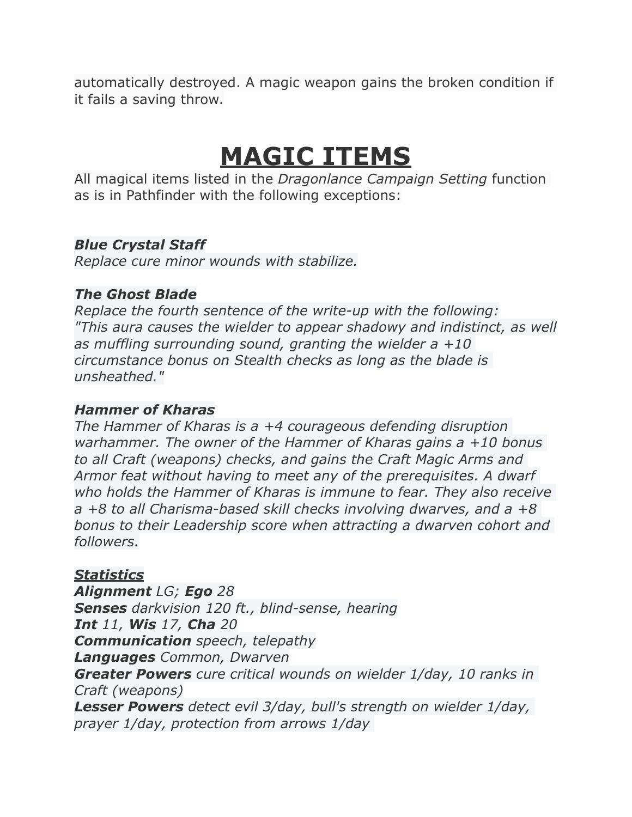automatically destroyed. A magic weapon gains the broken condition if it fails a saving throw.

# **MAGIC ITEMS**

All magical items listed in the *Dragonlance Campaign Setting* function as is in Pathfinder with the following exceptions:

# *Blue Crystal Staff*

*Replace cure minor wounds with stabilize.*

# *The Ghost Blade*

*Replace the fourth sentence of the write-up with the following: "This aura causes the wielder to appear shadowy and indistinct, as well as muffling surrounding sound, granting the wielder a +10 circumstance bonus on Stealth checks as long as the blade is unsheathed."*

## *Hammer of Kharas*

*The Hammer of Kharas is a +4 courageous defending disruption warhammer. The owner of the Hammer of Kharas gains a +10 bonus to all Craft (weapons) checks, and gains the Craft Magic Arms and Armor feat without having to meet any of the prerequisites. A dwarf who holds the Hammer of Kharas is immune to fear. They also receive a +8 to all Charisma-based skill checks involving dwarves, and a +8 bonus to their Leadership score when attracting a dwarven cohort and followers.*

# *Statistics*

*Alignment LG; Ego 28 Senses darkvision 120 ft., blind-sense, hearing Int 11, Wis 17, Cha 20 Communication speech, telepathy Languages Common, Dwarven Greater Powers cure critical wounds on wielder 1/day, 10 ranks in Craft (weapons) Lesser Powers detect evil 3/day, bull's strength on wielder 1/day, prayer 1/day, protection from arrows 1/day*